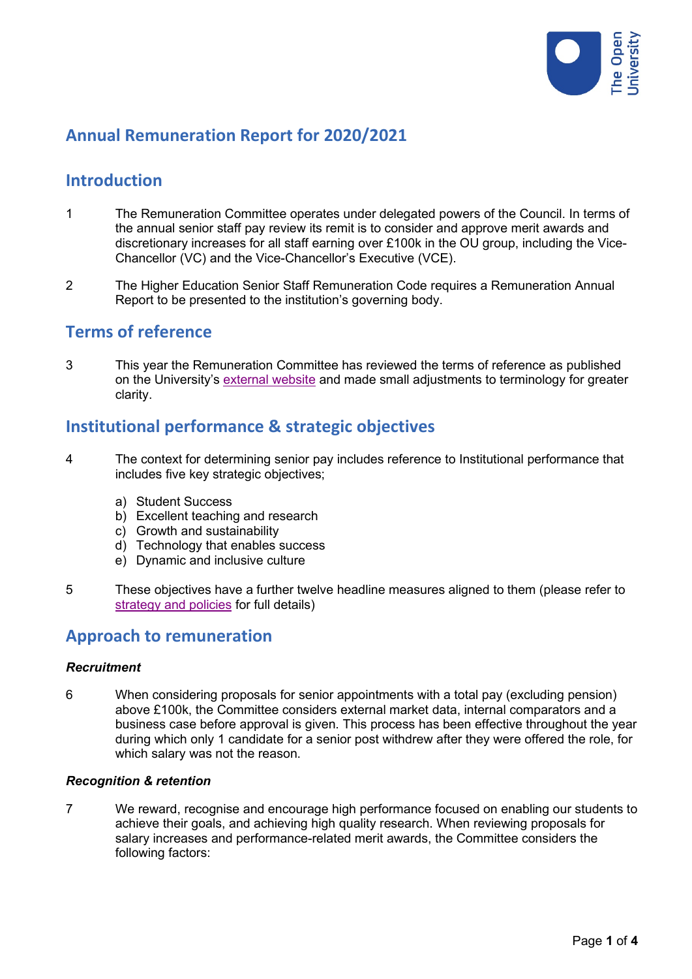

# **Annual Remuneration Report for 2020/2021**

# **Introduction**

- 1 The Remuneration Committee operates under delegated powers of the Council. In terms of the annual senior staff pay review its remit is to consider and approve merit awards and discretionary increases for all staff earning over £100k in the OU group, including the Vice-Chancellor (VC) and the Vice-Chancellor's Executive (VCE).
- 2 The Higher Education Senior Staff Remuneration Code requires a Remuneration Annual Report to be presented to the institution's governing body.

### **Terms of reference**

3 This year the Remuneration Committee has reviewed the terms of reference as published on the University's [external website](https://www.open.ac.uk/foi/main/sites/www.open.ac.uk.foi.main/files/files/Appendix%201%20Remuneration-Committee-Constitution-and-Membership.pdf) and made small adjustments to terminology for greater clarity.

## **Institutional performance & strategic objectives**

- 4 The context for determining senior pay includes reference to Institutional performance that includes five key strategic objectives;
	- a) Student Success
	- b) Excellent teaching and research
	- c) Growth and sustainability
	- d) Technology that enables success
	- e) Dynamic and inclusive culture
- 5 These objectives have a further twelve headline measures aligned to them (please refer to [strategy and policies](https://www.open.ac.uk/about/main/strategy-and-policies/strategic-objectives) for full details)

### **Approach to remuneration**

#### *Recruitment*

6 When considering proposals for senior appointments with a total pay (excluding pension) above £100k, the Committee considers external market data, internal comparators and a business case before approval is given. This process has been effective throughout the year during which only 1 candidate for a senior post withdrew after they were offered the role, for which salary was not the reason.

#### *Recognition & retention*

7 We reward, recognise and encourage high performance focused on enabling our students to achieve their goals, and achieving high quality research. When reviewing proposals for salary increases and performance-related merit awards, the Committee considers the following factors: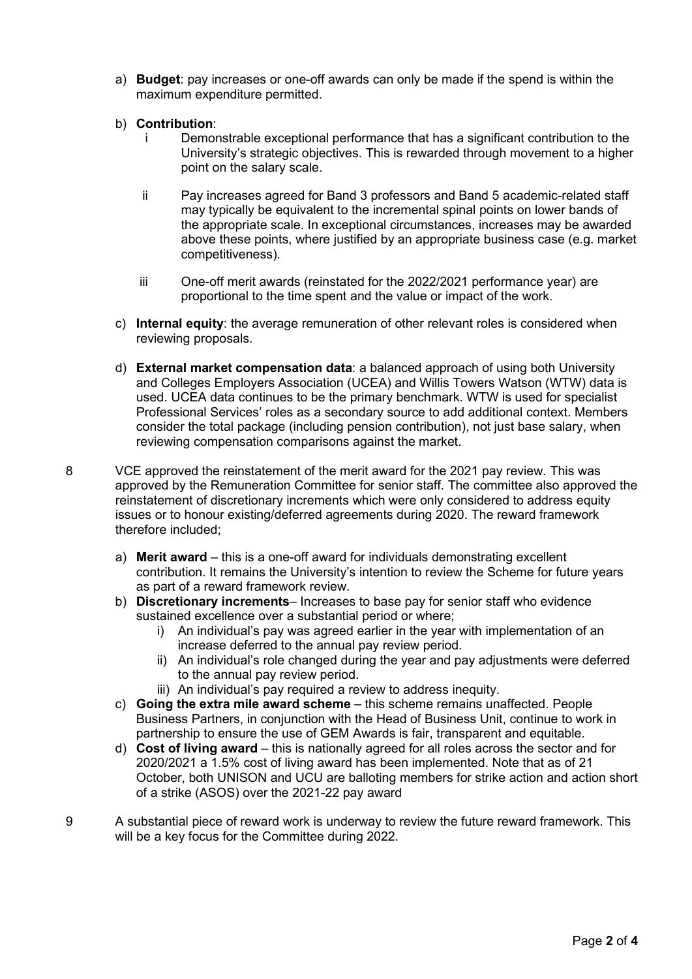- a) **Budget**: pay increases or one-off awards can only be made if the spend is within the maximum expenditure permitted.
- b) **Contribution**:
	- Demonstrable exceptional performance that has a significant contribution to the University's strategic objectives. This is rewarded through movement to a higher point on the salary scale.
	- ii Pay increases agreed for Band 3 professors and Band 5 academic-related staff may typically be equivalent to the incremental spinal points on lower bands of the appropriate scale. In exceptional circumstances, increases may be awarded above these points, where justified by an appropriate business case (e.g. market competitiveness).
	- iii One-off merit awards (reinstated for the 2022/2021 performance year) are proportional to the time spent and the value or impact of the work.
- c) **Internal equity**: the average remuneration of other relevant roles is considered when reviewing proposals.
- d) **External market compensation data**: a balanced approach of using both University and Colleges Employers Association (UCEA) and Willis Towers Watson (WTW) data is used. UCEA data continues to be the primary benchmark. WTW is used for specialist Professional Services' roles as a secondary source to add additional context. Members consider the total package (including pension contribution), not just base salary, when reviewing compensation comparisons against the market.
- 8 VCE approved the reinstatement of the merit award for the 2021 pay review. This was approved by the Remuneration Committee for senior staff. The committee also approved the reinstatement of discretionary increments which were only considered to address equity issues or to honour existing/deferred agreements during 2020. The reward framework therefore included;
	- a) **Merit award**  this is a one-off award for individuals demonstrating excellent contribution. It remains the University's intention to review the Scheme for future years as part of a reward framework review.
	- b) **Discretionary increments** Increases to base pay for senior staff who evidence sustained excellence over a substantial period or where;
		- i) An individual's pay was agreed earlier in the year with implementation of an increase deferred to the annual pay review period.
		- ii) An individual's role changed during the year and pay adjustments were deferred to the annual pay review period.
		- iii) An individual's pay required a review to address inequity.
	- c) **Going the extra mile award scheme**  this scheme remains unaffected. People Business Partners, in conjunction with the Head of Business Unit, continue to work in partnership to ensure the use of GEM Awards is fair, transparent and equitable.
	- d) **Cost of living award** this is nationally agreed for all roles across the sector and for 2020/2021 a 1.5% cost of living award has been implemented. Note that as of 21 October, both UNISON and UCU are balloting members for strike action and action short of a strike (ASOS) over the 2021-22 pay award
- 9 A substantial piece of reward work is underway to review the future reward framework. This will be a key focus for the Committee during 2022.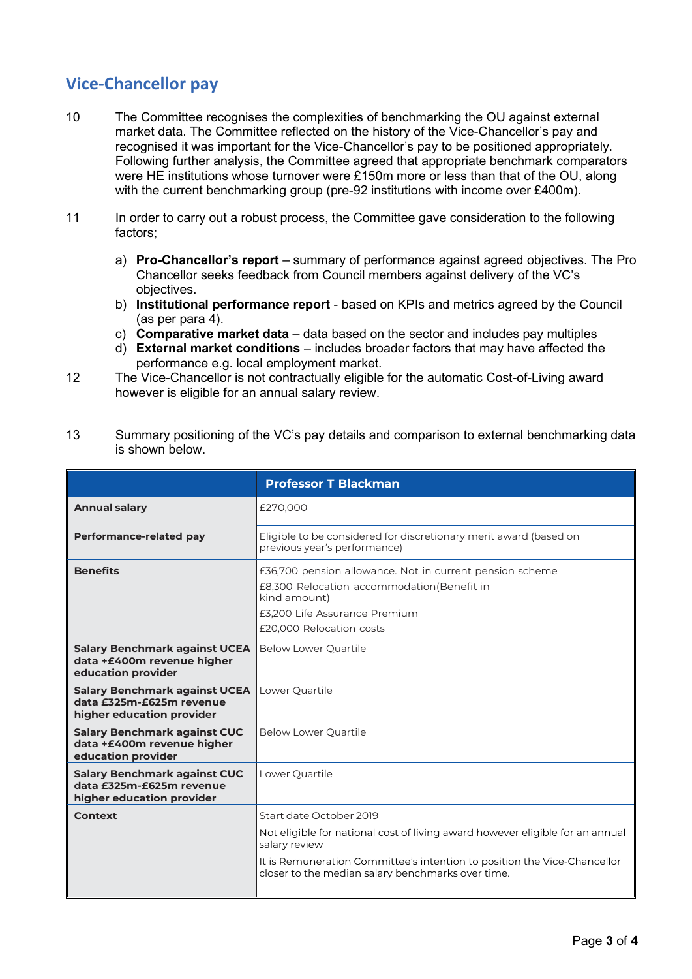# **Vice-Chancellor pay**

- 10 The Committee recognises the complexities of benchmarking the OU against external market data. The Committee reflected on the history of the Vice-Chancellor's pay and recognised it was important for the Vice-Chancellor's pay to be positioned appropriately. Following further analysis, the Committee agreed that appropriate benchmark comparators were HE institutions whose turnover were £150m more or less than that of the OU, along with the current benchmarking group (pre-92 institutions with income over £400m).
- 11 In order to carry out a robust process, the Committee gave consideration to the following factors;
	- a) **Pro-Chancellor's report** summary of performance against agreed objectives. The Pro Chancellor seeks feedback from Council members against delivery of the VC's objectives.
	- b) **Institutional performance report** based on KPIs and metrics agreed by the Council (as per para 4).
	- c) **Comparative market data** data based on the sector and includes pay multiples
	- d) **External market conditions**  includes broader factors that may have affected the performance e.g. local employment market.
- 12 The Vice-Chancellor is not contractually eligible for the automatic Cost-of-Living award however is eligible for an annual salary review.

| 13 | Summary positioning of the VC's pay details and comparison to external benchmarking data |
|----|------------------------------------------------------------------------------------------|
|    | is shown below.                                                                          |

|                                                                                               | <b>Professor T Blackman</b>                                                                                                                                                          |
|-----------------------------------------------------------------------------------------------|--------------------------------------------------------------------------------------------------------------------------------------------------------------------------------------|
| <b>Annual salary</b>                                                                          | £270,000                                                                                                                                                                             |
| Performance-related pay                                                                       | Eligible to be considered for discretionary merit award (based on<br>previous year's performance)                                                                                    |
| <b>Benefits</b>                                                                               | £36,700 pension allowance. Not in current pension scheme<br>£8,300 Relocation accommodation (Benefit in<br>kind amount)<br>£3.200 Life Assurance Premium<br>£20,000 Relocation costs |
| <b>Salary Benchmark against UCEA</b><br>data +£400m revenue higher<br>education provider      | <b>Below Lower Quartile</b>                                                                                                                                                          |
| <b>Salary Benchmark against UCEA</b><br>data £325m-£625m revenue<br>higher education provider | Lower Quartile                                                                                                                                                                       |
| <b>Salary Benchmark against CUC</b><br>data +£400m revenue higher<br>education provider       | <b>Below Lower Quartile</b>                                                                                                                                                          |
| <b>Salary Benchmark against CUC</b><br>data £325m-£625m revenue<br>higher education provider  | Lower Quartile                                                                                                                                                                       |
| Context                                                                                       | Start date October 2019                                                                                                                                                              |
|                                                                                               | Not eligible for national cost of living award however eligible for an annual<br>salary review                                                                                       |
|                                                                                               | It is Remuneration Committee's intention to position the Vice-Chancellor<br>closer to the median salary benchmarks over time.                                                        |